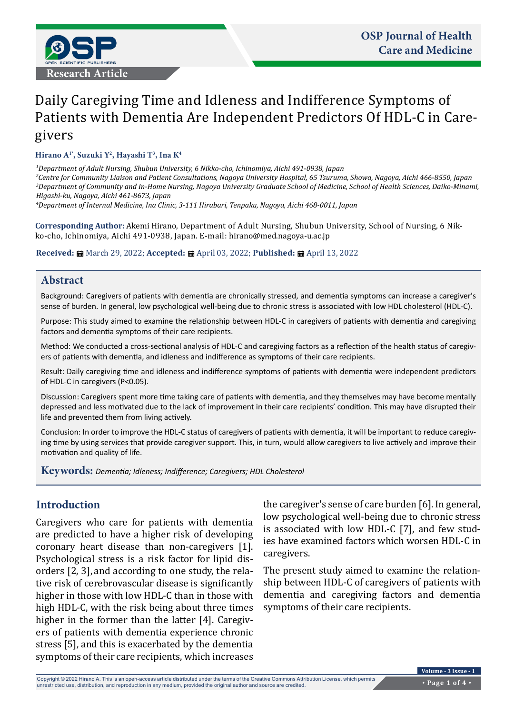

# Daily Caregiving Time and Idleness and Indifference Symptoms of Patients with Dementia Are Independent Predictors Of HDL-C in Caregivers

**Hirano A1\*, Suzuki Y2 , Hayashi T3 , Ina K4**

 *Department of Adult Nursing, Shubun University, 6 Nikko-cho, Ichinomiya, Aichi 491-0938, Japan Centre for Community Liaison and Patient Consultations, Nagoya University Hospital, 65 Tsuruma, Showa, Nagoya, Aichi 466-8550, Japan Department of Community and In-Home Nursing, Nagoya University Graduate School of Medicine, School of Health Sciences, Daiko-Minami, Higashi-ku, Nagoya, Aichi 461-8673, Japan*

*4 Department of Internal Medicine, Ina Clinic, 3-111 Hirabari, Tenpaku, Nagoya, Aichi 468-0011, Japan*

**Corresponding Author:** Akemi Hirano, Department of Adult Nursing, Shubun University, School of Nursing, 6 Nikko-cho, Ichinomiya, Aichi 491-0938, Japan. E-mail: [hirano@med.nagoya-u.ac.jp](mailto:hirano@med.nagoya-u.ac.jp)

**Received:** March 29, 2022; **Accepted:** April 03, 2022; **Published:** April 13, 2022

## **Abstract**

Background: Caregivers of patients with dementia are chronically stressed, and dementia symptoms can increase a caregiver's sense of burden. In general, low psychological well-being due to chronic stress is associated with low HDL cholesterol (HDL-C).

Purpose: This study aimed to examine the relationship between HDL-C in caregivers of patients with dementia and caregiving factors and dementia symptoms of their care recipients.

Method: We conducted a cross-sectional analysis of HDL-C and caregiving factors as a reflection of the health status of caregivers of patients with dementia, and idleness and indifference as symptoms of their care recipients.

Result: Daily caregiving time and idleness and indifference symptoms of patients with dementia were independent predictors of HDL-C in caregivers (P<0.05).

Discussion: Caregivers spent more time taking care of patients with dementia, and they themselves may have become mentally depressed and less motivated due to the lack of improvement in their care recipients' condition. This may have disrupted their life and prevented them from living actively.

Conclusion: In order to improve the HDL-C status of caregivers of patients with dementia, it will be important to reduce caregiving time by using services that provide caregiver support. This, in turn, would allow caregivers to live actively and improve their motivation and quality of life.

**Keywords:** *Dementia; Idleness; Indifference; Caregivers; HDL Cholesterol*

## **Introduction**

Caregivers who care for patients with dementia are predicted to have a higher risk of developing coronary heart disease than non-caregivers [1]. Psychological stress is a risk factor for lipid disorders [2, 3], and according to one study, the relative risk of cerebrovascular disease is significantly higher in those with low HDL-C than in those with high HDL-C, with the risk being about three times higher in the former than the latter [4]. Caregivers of patients with dementia experience chronic stress [5], and this is exacerbated by the dementia symptoms of their care recipients, which increases

the caregiver's sense of care burden [6]. In general, low psychological well-being due to chronic stress is associated with low HDL-C [7], and few studies have examined factors which worsen HDL-C in caregivers.

The present study aimed to examine the relationship between HDL-C of caregivers of patients with dementia and caregiving factors and dementia symptoms of their care recipients.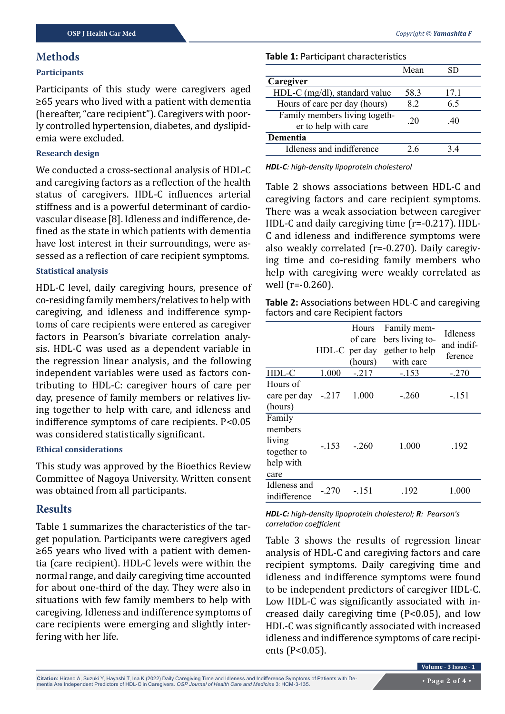## **Methods**

#### **Participants**

Participants of this study were caregivers aged ≥65 years who lived with a patient with dementia (hereafter, "care recipient"). Caregivers with poorly controlled hypertension, diabetes, and dyslipidemia were excluded.

#### **Research design**

We conducted a cross-sectional analysis of HDL-C and caregiving factors as a reflection of the health status of caregivers. HDL-C influences arterial stiffness and is a powerful determinant of cardiovascular disease [8]. Idleness and indifference, defined as the state in which patients with dementia have lost interest in their surroundings, were assessed as a reflection of care recipient symptoms.

## **Statistical analysis**

HDL-C level, daily caregiving hours, presence of co-residing family members/relatives to help with caregiving, and idleness and indifference symptoms of care recipients were entered as caregiver factors in Pearson's bivariate correlation analysis. HDL-C was used as a dependent variable in the regression linear analysis, and the following independent variables were used as factors contributing to HDL-C: caregiver hours of care per day, presence of family members or relatives living together to help with care, and idleness and indifference symptoms of care recipients. P<0.05 was considered statistically significant.

#### **Ethical considerations**

This study was approved by the Bioethics Review Committee of Nagoya University. Written consent was obtained from all participants.

## **Results**

Table 1 summarizes the characteristics of the target population. Participants were caregivers aged ≥65 years who lived with a patient with dementia (care recipient). HDL-C levels were within the normal range, and daily caregiving time accounted for about one-third of the day. They were also in situations with few family members to help with caregiving. Idleness and indifference symptoms of care recipients were emerging and slightly interfering with her life.

## **Table 1:** Participant characteristics

|                                                       | Mean |      |
|-------------------------------------------------------|------|------|
| Caregiver                                             |      |      |
| HDL-C (mg/dl), standard value                         | 58.3 | 17.1 |
| Hours of care per day (hours)                         | 8.2  | 6.5  |
| Family members living togeth-<br>er to help with care | .20  | .40  |
| Dementia                                              |      |      |
| Idleness and indifference                             | 26   | 34   |

*HDL-C: high-density lipoprotein cholesterol*

Table 2 shows associations between HDL-C and caregiving factors and care recipient symptoms. There was a weak association between caregiver HDL-C and daily caregiving time (r=-0.217). HDL-C and idleness and indifference symptoms were also weakly correlated (r=-0.270). Daily caregiving time and co-residing family members who help with caregiving were weakly correlated as well (r=-0.260).

**Table 2:** Associations between HDL-C and caregiving factors and care Recipient factors

|                                                                 |         | Hours<br>of care<br>HDL-C per day<br>(hours) | Family mem-<br>bers living to-<br>gether to help<br>with care | <b>Idleness</b><br>and indif-<br>ference |
|-----------------------------------------------------------------|---------|----------------------------------------------|---------------------------------------------------------------|------------------------------------------|
| HDL-C                                                           | 1.000   | $-.217$                                      | $-.153$                                                       | $-.270$                                  |
| Hours of<br>care per day<br>(hours)                             | $-.217$ | 1.000                                        | $-.260$                                                       | $-.151$                                  |
| Family<br>members<br>living<br>together to<br>help with<br>care | $-153$  | $-260$                                       | 1.000                                                         | .192                                     |
| Idleness and<br>indifference                                    | $-.270$ | $-151$                                       | .192                                                          | 1.000                                    |

*HDL-C: high-density lipoprotein cholesterol; R: Pearson's correlation coefficient*

Table 3 shows the results of regression linear analysis of HDL-C and caregiving factors and care recipient symptoms. Daily caregiving time and idleness and indifference symptoms were found to be independent predictors of caregiver HDL-C. Low HDL-C was significantly associated with increased daily caregiving time (P<0.05), and low HDL-C was significantly associated with increased idleness and indifference symptoms of care recipients (P<0.05).

**Citation:** Hirano A, Suzuki Y, Hayashi T, Ina K (2022) Daily Caregiving Time and Idleness and Indifference Symptoms of Patients with Dementia Are Independent Predictors of HDL-C in Caregivers. *OSP Journal of Health Care and Medicine* 3: HCM-3-135.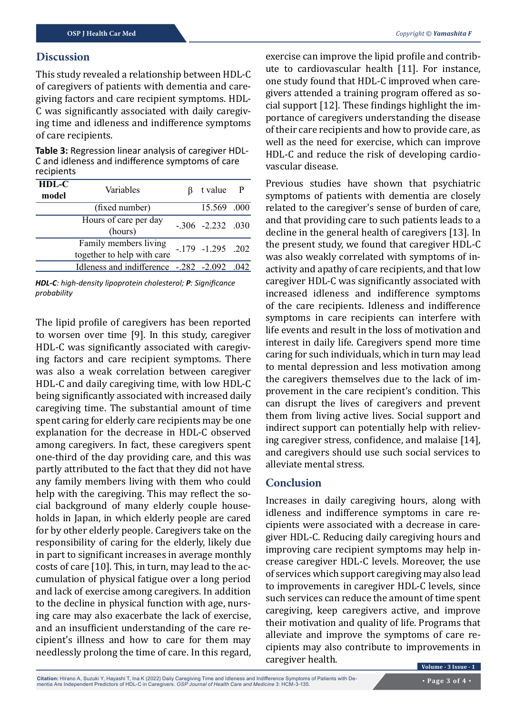## **Discussion**

This study revealed a relationship between HDL-C of caregivers of patients with dementia and caregiving factors and care recipient symptoms. HDL-C was significantly associated with daily caregiving time and idleness and indifference symptoms of care recipients.

**Table 3:** Regression linear analysis of caregiver HDL-C and idleness and indifference symptoms of care recipients

| <b>HDL-C</b><br>model | Variables                                           | ß | t value P                |  |
|-----------------------|-----------------------------------------------------|---|--------------------------|--|
|                       | (fixed number)                                      |   | 15.569 .000              |  |
|                       | Hours of care per day<br>(hours)                    |   | $-.306$ $-.2.232$ $.030$ |  |
|                       | Family members living<br>together to help with care |   | $-.179$ $-.1.295$ $.202$ |  |
|                       | Idleness and indifference -.282 -2.092              |   |                          |  |

*HDL-C: high-density lipoprotein cholesterol; P: Significance probability*

The lipid profile of caregivers has been reported to worsen over time [9]. In this study, caregiver HDL-C was significantly associated with caregiving factors and care recipient symptoms. There was also a weak correlation between caregiver HDL-C and daily caregiving time, with low HDL-C being significantly associated with increased daily caregiving time. The substantial amount of time spent caring for elderly care recipients may be one explanation for the decrease in HDL-C observed among caregivers. In fact, these caregivers spent one-third of the day providing care, and this was partly attributed to the fact that they did not have any family members living with them who could help with the caregiving. This may reflect the social background of many elderly couple households in Japan, in which elderly people are cared for by other elderly people. Caregivers take on the responsibility of caring for the elderly, likely due in part to significant increases in average monthly costs of care [10]. This, in turn, may lead to the accumulation of physical fatigue over a long period and lack of exercise among caregivers. In addition to the decline in physical function with age, nursing care may also exacerbate the lack of exercise, and an insufficient understanding of the care recipient's illness and how to care for them may needlessly prolong the time of care. In this regard,

exercise can improve the lipid profile and contribute to cardiovascular health [11]. For instance, one study found that HDL-C improved when caregivers attended a training program offered as social support [12]. These findings highlight the importance of caregivers understanding the disease of their care recipients and how to provide care, as well as the need for exercise, which can improve HDL-C and reduce the risk of developing cardiovascular disease.

Previous studies have shown that psychiatric symptoms of patients with dementia are closely related to the caregiver's sense of burden of care, and that providing care to such patients leads to a decline in the general health of caregivers [13]. In the present study, we found that caregiver HDL-C was also weakly correlated with symptoms of inactivity and apathy of care recipients, and that low caregiver HDL-C was significantly associated with increased idleness and indifference symptoms of the care recipients. Idleness and indifference symptoms in care recipients can interfere with life events and result in the loss of motivation and interest in daily life. Caregivers spend more time caring for such individuals, which in turn may lead to mental depression and less motivation among the caregivers themselves due to the lack of improvement in the care recipient's condition. This can disrupt the lives of caregivers and prevent them from living active lives. Social support and indirect support can potentially help with relieving caregiver stress, confidence, and malaise [14], and caregivers should use such social services to alleviate mental stress.

## **Conclusion**

Increases in daily caregiving hours, along with idleness and indifference symptoms in care recipients were associated with a decrease in caregiver HDL-C. Reducing daily caregiving hours and improving care recipient symptoms may help increase caregiver HDL-C levels. Moreover, the use of services which support caregiving may also lead to improvements in caregiver HDL-C levels, since such services can reduce the amount of time spent caregiving, keep caregivers active, and improve their motivation and quality of life. Programs that alleviate and improve the symptoms of care recipients may also contribute to improvements in caregiver health. **Volume** - 3 Issue - 1